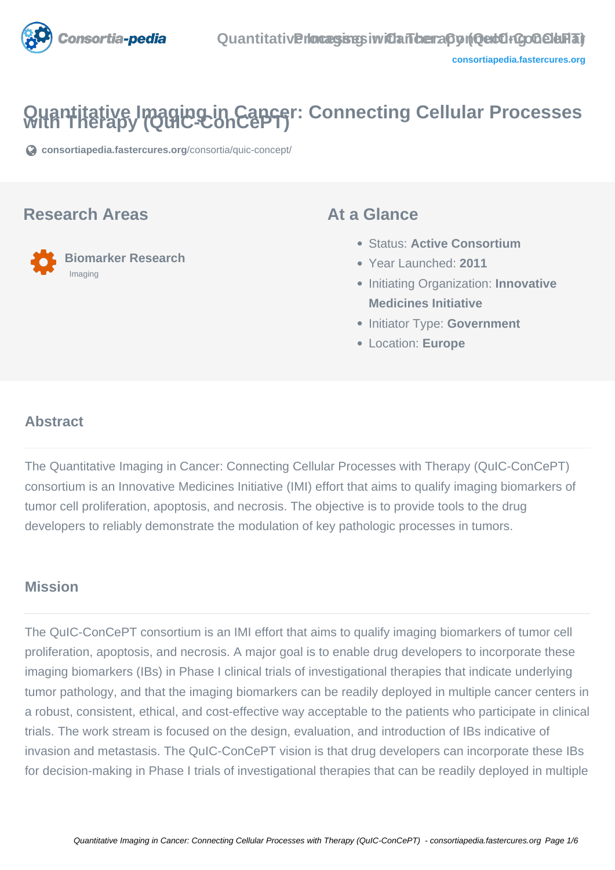

# **Quantitative Imaging in Cancer: Connecting Cellular Processes with Therapy (QuIC-ConCePT)**

**[consortiapedia.fastercures.org](https://consortiapedia.fastercures.org/consortia/quic-concept/)**[/consortia/quic-concept/](https://consortiapedia.fastercures.org/consortia/quic-concept/)

#### **Research Areas**



### **At a Glance**

- Status: **Active Consortium**
- Year Launched: **2011**
- **Initiating Organization: Innovative Medicines Initiative**
- **Initiator Type: Government**
- Location: **Europe**

#### $\overline{a}$ **Abstract**

The Quantitative Imaging in Cancer: Connecting Cellular Processes with Therapy (QuIC-ConCePT) consortium is an Innovative Medicines Initiative (IMI) effort that aims to qualify imaging biomarkers of tumor cell proliferation, apoptosis, and necrosis. The objective is to provide tools to the drug developers to reliably demonstrate the modulation of key pathologic processes in tumors.

### **Mission**

The QuIC-ConCePT consortium is an IMI effort that aims to qualify imaging biomarkers of tumor cell proliferation, apoptosis, and necrosis. A major goal is to enable drug developers to incorporate these imaging biomarkers (IBs) in Phase I clinical trials of investigational therapies that indicate underlying tumor pathology, and that the imaging biomarkers can be readily deployed in multiple cancer centers in a robust, consistent, ethical, and cost-effective way acceptable to the patients who participate in clinical trials. The work stream is focused on the design, evaluation, and introduction of IBs indicative of invasion and metastasis. The QuIC-ConCePT vision is that drug developers can incorporate these IBs for decision-making in Phase I trials of investigational therapies that can be readily deployed in multiple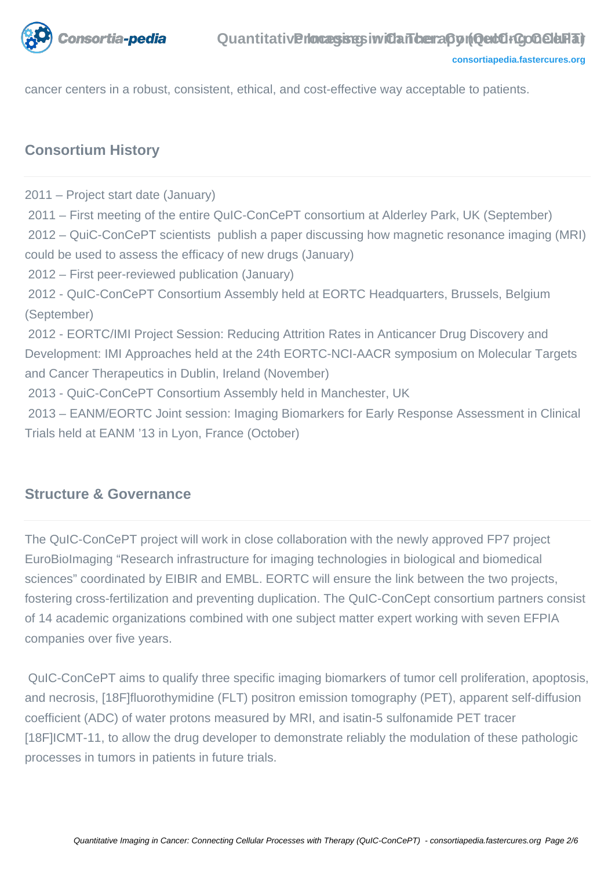

cancer centers in a robust, consistent, ethical, and cost-effective way acceptable to patients.

### **Consortium History**

2011 – Project start date (January) 2011 – First meeting of the entire QuIC-ConCePT consortium at Alderley Park, UK (September) 2012 – QuiC-ConCePT scientists publish a paper discussing how magnetic resonance imaging (MRI) could be used to assess the efficacy of new drugs (January) 2012 – First peer-reviewed publication (January) 2012 - QuIC-ConCePT Consortium Assembly held at EORTC Headquarters, Brussels, Belgium (September) 2012 - EORTC/IMI Project Session: Reducing Attrition Rates in Anticancer Drug Discovery and Development: IMI Approaches held at the 24th EORTC-NCI-AACR symposium on Molecular Targets and Cancer Therapeutics in Dublin, Ireland (November) 2013 - QuiC-ConCePT Consortium Assembly held in Manchester, UK 2013 – EANM/EORTC Joint session: Imaging Biomarkers for Early Response Assessment in Clinical Trials held at EANM '13 in Lyon, France (October)

### **Structure & Governance**

The QuIC-ConCePT project will work in close collaboration with the newly approved FP7 project EuroBioImaging "Research infrastructure for imaging technologies in biological and biomedical sciences" coordinated by EIBIR and EMBL. EORTC will ensure the link between the two projects, fostering cross-fertilization and preventing duplication. The QuIC-ConCept consortium partners consist of 14 academic organizations combined with one subject matter expert working with seven EFPIA companies over five years.

 QuIC-ConCePT aims to qualify three specific imaging biomarkers of tumor cell proliferation, apoptosis, and necrosis, [18F]fluorothymidine (FLT) positron emission tomography (PET), apparent self-diffusion coefficient (ADC) of water protons measured by MRI, and isatin-5 sulfonamide PET tracer [18F]ICMT-11, to allow the drug developer to demonstrate reliably the modulation of these pathologic processes in tumors in patients in future trials.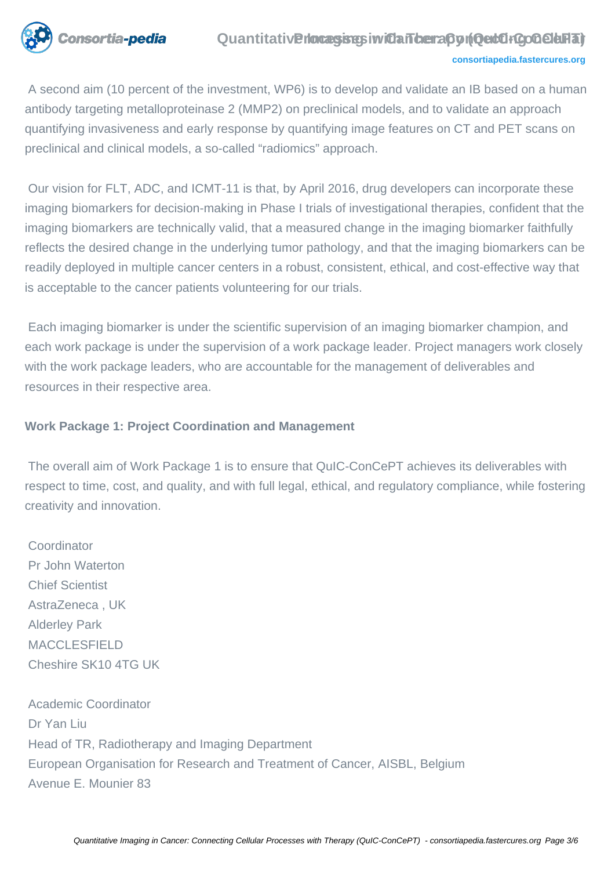

#### **Quantitative rocasses in Cancera Concert FGoGelarat**

#### **[consortiapedia.fastercures.org](http://consortiapedia.fastercures.org/)**

 A second aim (10 percent of the investment, WP6) is to develop and validate an IB based on a human antibody targeting metalloproteinase 2 (MMP2) on preclinical models, and to validate an approach quantifying invasiveness and early response by quantifying image features on CT and PET scans on preclinical and clinical models, a so-called "radiomics" approach.

 Our vision for FLT, ADC, and ICMT-11 is that, by April 2016, drug developers can incorporate these imaging biomarkers for decision-making in Phase I trials of investigational therapies, confident that the imaging biomarkers are technically valid, that a measured change in the imaging biomarker faithfully reflects the desired change in the underlying tumor pathology, and that the imaging biomarkers can be readily deployed in multiple cancer centers in a robust, consistent, ethical, and cost-effective way that is acceptable to the cancer patients volunteering for our trials.

 Each imaging biomarker is under the scientific supervision of an imaging biomarker champion, and each work package is under the supervision of a work package leader. Project managers work closely with the work package leaders, who are accountable for the management of deliverables and resources in their respective area.

#### **Work Package 1: Project Coordination and Management**

 The overall aim of Work Package 1 is to ensure that QuIC-ConCePT achieves its deliverables with respect to time, cost, and quality, and with full legal, ethical, and regulatory compliance, while fostering creativity and innovation.

**Coordinator**  Pr John Waterton Chief Scientist AstraZeneca , UK Alderley Park MACCLESFIELD Cheshire SK10 4TG UK

 Academic Coordinator Dr Yan Liu Head of TR, Radiotherapy and Imaging Department European Organisation for Research and Treatment of Cancer, AISBL, Belgium Avenue E. Mounier 83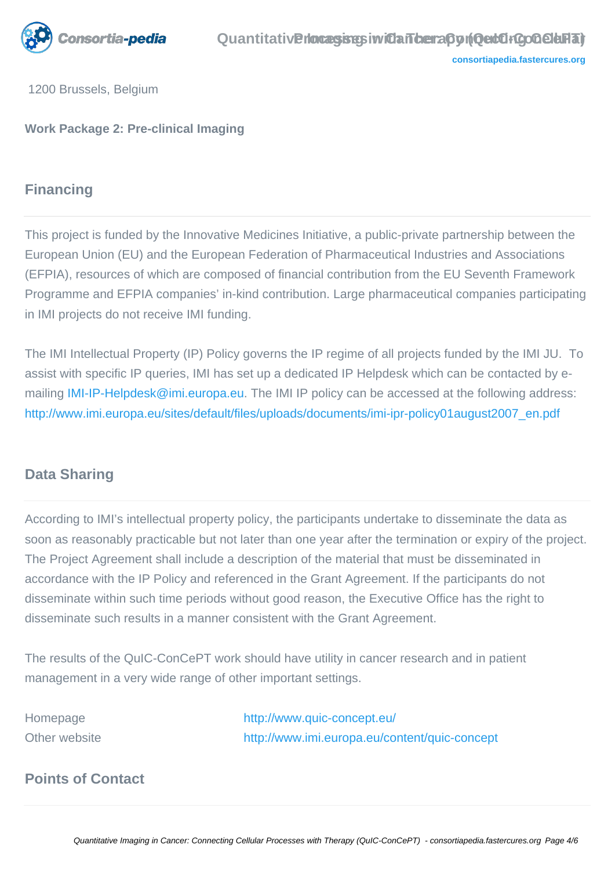

1200 Brussels, Belgium

**Work Package 2: Pre-clinical Imaging**

## **Financing**

This project is funded by the Innovative Medicines Initiative, a public-private partnership between the European Union (EU) and the European Federation of Pharmaceutical Industries and Associations (EFPIA), resources of which are composed of financial contribution from the EU Seventh Framework Programme and EFPIA companies' in-kind contribution. Large pharmaceutical companies participating in IMI projects do not receive IMI funding.

The IMI Intellectual Property (IP) Policy governs the IP regime of all projects funded by the IMI JU. To assist with specific IP queries, IMI has set up a dedicated IP Helpdesk which can be contacted by e-mailing [IMI-IP-Helpdesk@imi.europa.eu](mailto:IMI-IP-Helpdesk@imi.europa.eu). The IMI IP policy can be accessed at the following address: [http://www.imi.europa.eu/sites/default/files/uploads/documents/imi-ipr-policy01august2007\\_en.pdf](http://www.imi.europa.eu/sites/default/files/uploads/documents/imi-ipr-policy01august2007_en.pdf)

### **Data Sharing**

According to IMI's intellectual property policy, the participants undertake to disseminate the data as soon as reasonably practicable but not later than one year after the termination or expiry of the project. The Project Agreement shall include a description of the material that must be disseminated in accordance with the IP Policy and referenced in the Grant Agreement. If the participants do not disseminate within such time periods without good reason, the Executive Office has the right to disseminate such results in a manner consistent with the Grant Agreement.

The results of the QuIC-ConCePT work should have utility in cancer research and in patient management in a very wide range of other important settings.

Homepage <http://www.quic-concept.eu/> Other website <http://www.imi.europa.eu/content/quic-concept>

### **Points of Contact**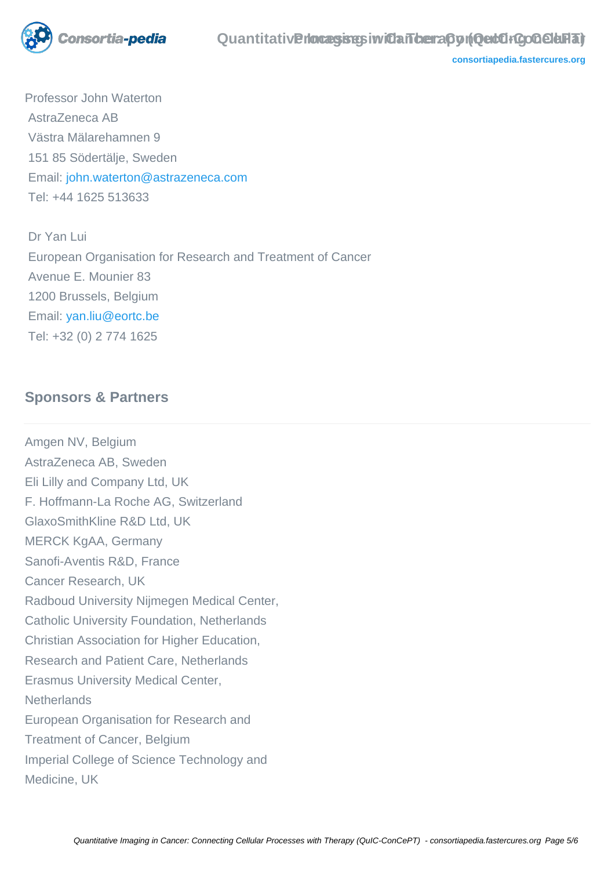

**[consortiapedia.fastercures.org](http://consortiapedia.fastercures.org/)**

Professor John Waterton AstraZeneca AB Västra Mälarehamnen 9 151 85 Södertälje, Sweden Email: [john.waterton@astrazeneca.com](mailto:john.waterton@astrazeneca.com) Tel: +44 1625 513633

 Dr Yan Lui European Organisation for Research and Treatment of Cancer Avenue E. Mounier 83 1200 Brussels, Belgium Email: [yan.liu@eortc.be](mailto:yan.liu@eortc.be) Tel: +32 (0) 2 774 1625

### **Sponsors & Partners**

Amgen NV, Belgium AstraZeneca AB, Sweden Eli Lilly and Company Ltd, UK F. Hoffmann-La Roche AG, Switzerland GlaxoSmithKline R&D Ltd, UK MERCK KgAA, Germany Sanofi-Aventis R&D, France Cancer Research, UK Radboud University Nijmegen Medical Center, Catholic University Foundation, Netherlands Christian Association for Higher Education, Research and Patient Care, Netherlands Erasmus University Medical Center, **Netherlands** European Organisation for Research and Treatment of Cancer, Belgium Imperial College of Science Technology and Medicine, UK